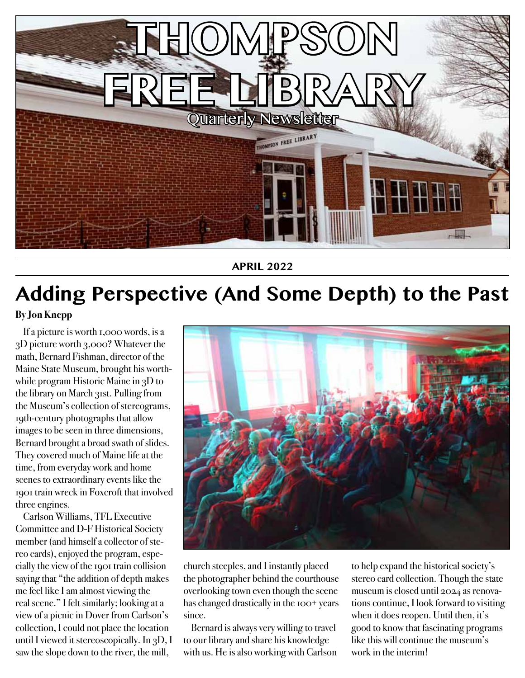

**APRIL 2022**

## **Adding Perspective (And Some Depth) to the Past**

#### **By Jon Knepp**

If a picture is worth 1,000 words, is a 3D picture worth 3,000? Whatever the math, Bernard Fishman, director of the Maine State Museum, brought his worthwhile program Historic Maine in 3D to the library on March 31st. Pulling from the Museum's collection of stereograms, 19th-century photographs that allow images to be seen in three dimensions, Bernard brought a broad swath of slides. They covered much of Maine life at the time, from everyday work and home scenes to extraordinary events like the 1901 train wreck in Foxcroft that involved three engines.

Carlson Williams, TFL Executive Committee and D-F Historical Society member (and himself a collector of stereo cards), enjoyed the program, especially the view of the 1901 train collision saying that "the addition of depth makes me feel like I am almost viewing the real scene." I felt similarly; looking at a view of a picnic in Dover from Carlson's collection, I could not place the location until I viewed it stereoscopically. In 3D, I saw the slope down to the river, the mill,



church steeples, and I instantly placed the photographer behind the courthouse overlooking town even though the scene has changed drastically in the 100+ years since.

Bernard is always very willing to travel to our library and share his knowledge with us. He is also working with Carlson

to help expand the historical society's stereo card collection. Though the state museum is closed until 2024 as renovations continue, I look forward to visiting when it does reopen. Until then, it's good to know that fascinating programs like this will continue the museum's work in the interim!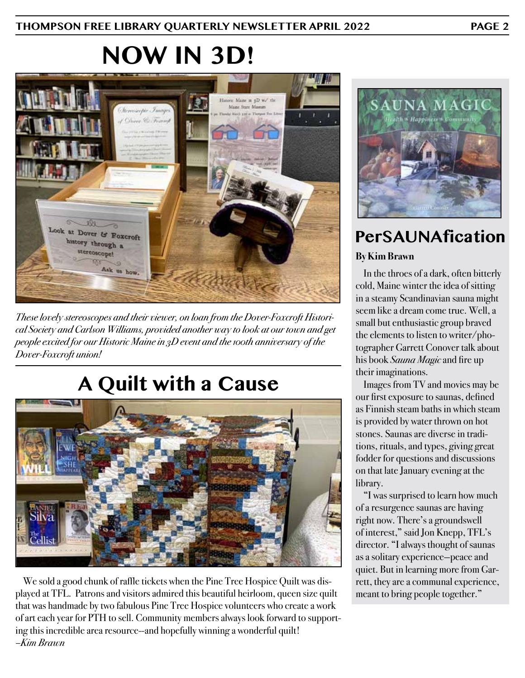## **NOW IN 3D!**



*These lovely stereoscopes and their viewer, on loan from the Dover-Foxcroft Historical Society and Carlson Williams, provided another way to look at our town and get people excited for our Historic Maine in 3D event and the 100th anniversary of the Dover-Foxcroft union!*

## **A Quilt with a Cause**



We sold a good chunk of raffle tickets when the Pine Tree Hospice Quilt was displayed at TFL. Patrons and visitors admired this beautiful heirloom, queen size quilt that was handmade by two fabulous Pine Tree Hospice volunteers who create a work of art each year for PTH to sell. Community members always look forward to supporting this incredible area resource--and hopefully winning a wonderful quilt! *–Kim Brawn*



**By Kim Brawn PerSAUNAfication**

In the throes of a dark, often bitterly cold, Maine winter the idea of sitting in a steamy Scandinavian sauna might seem like a dream come true. Well, a small but enthusiastic group braved the elements to listen to writer/photographer Garrett Conover talk about his book *Sauna Magic* and fire up their imaginations.

Images from TV and movies may be our first exposure to saunas, defined as Finnish steam baths in which steam is provided by water thrown on hot stones. Saunas are diverse in traditions, rituals, and types, giving great fodder for questions and discussions on that late January evening at the library.

"I was surprised to learn how much of a resurgence saunas are having right now. There's a groundswell of interest," said Jon Knepp, TFL's director. "I always thought of saunas as a solitary experience—peace and quiet. But in learning more from Garrett, they are a communal experience, meant to bring people together."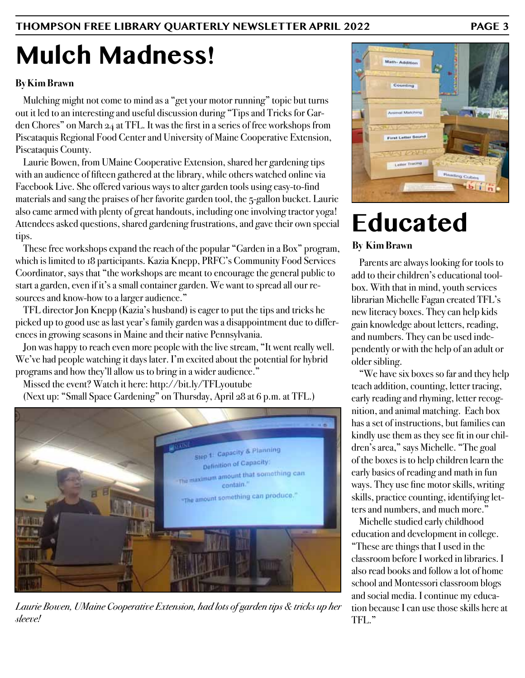# **Mulch Madness!**

#### **By Kim Brawn**

Mulching might not come to mind as a "get your motor running" topic but turns out it led to an interesting and useful discussion during "Tips and Tricks for Garden Chores" on March 24 at TFL. It was the first in a series of free workshops from Piscataquis Regional Food Center and University of Maine Cooperative Extension, Piscataquis County.

Laurie Bowen, from UMaine Cooperative Extension, shared her gardening tips with an audience of fifteen gathered at the library, while others watched online via Facebook Live. She offered various ways to alter garden tools using easy-to-find materials and sang the praises of her favorite garden tool, the 5-gallon bucket. Laurie also came armed with plenty of great handouts, including one involving tractor yoga! Attendees asked questions, shared gardening frustrations, and gave their own special tips.

These free workshops expand the reach of the popular "Garden in a Box" program, which is limited to 18 participants. Kazia Knepp, PRFC's Community Food Services Coordinator, says that "the workshops are meant to encourage the general public to start a garden, even if it's a small container garden. We want to spread all our resources and know-how to a larger audience."

TFL director Jon Knepp (Kazia's husband) is eager to put the tips and tricks he picked up to good use as last year's family garden was a disappointment due to differences in growing seasons in Maine and their native Pennsylvania.

Jon was happy to reach even more people with the live stream, "It went really well. We've had people watching it days later. I'm excited about the potential for hybrid programs and how they'll allow us to bring in a wider audience."

Missed the event? Watch it here: http://bit.ly/TFLyoutube

(Next up: "Small Space Gardening" on Thursday, April 28 at 6 p.m. at TFL.)



*Laurie Bowen, UMaine Cooperative Extension, had lots of garden tips & tricks up her sleeve!*



## **Educated**

#### **By Kim Brawn**

Parents are always looking for tools to add to their children's educational toolbox. With that in mind, youth services librarian Michelle Fagan created TFL's new literacy boxes. They can help kids gain knowledge about letters, reading, and numbers. They can be used independently or with the help of an adult or older sibling.

"We have six boxes so far and they help teach addition, counting, letter tracing, early reading and rhyming, letter recognition, and animal matching. Each box has a set of instructions, but families can kindly use them as they see fit in our children's area," says Michelle. "The goal of the boxes is to help children learn the early basics of reading and math in fun ways. They use fine motor skills, writing skills, practice counting, identifying letters and numbers, and much more."

Michelle studied early childhood education and development in college. "These are things that I used in the classroom before I worked in libraries. I also read books and follow a lot of home school and Montessori classroom blogs and social media. I continue my education because I can use those skills here at TFL."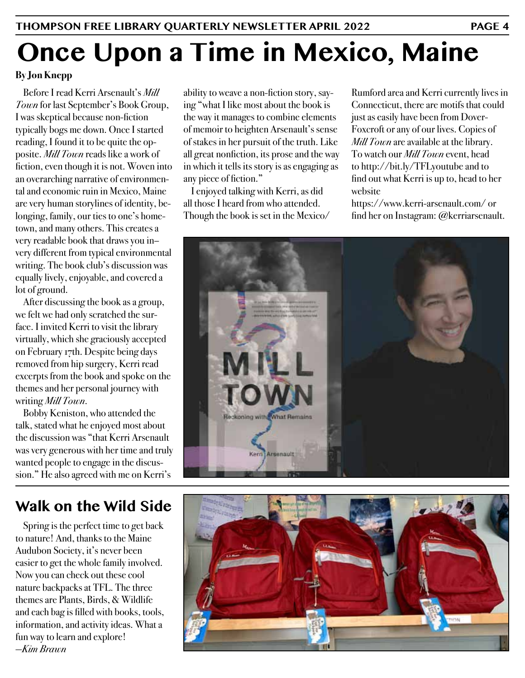# **Once Upon a Time in Mexico, Maine**

#### **By Jon Knepp**

Before I read Kerri Arsenault's *Mill Town* for last September's Book Group, I was skeptical because non-fiction typically bogs me down. Once I started reading, I found it to be quite the opposite. *Mill Town* reads like a work of fiction, even though it is not. Woven into an overarching narrative of environmental and economic ruin in Mexico, Maine are very human storylines of identity, belonging, family, our ties to one's hometown, and many others. This creates a very readable book that draws you in– very different from typical environmental writing. The book club's discussion was equally lively, enjoyable, and covered a lot of ground.

After discussing the book as a group, we felt we had only scratched the surface. I invited Kerri to visit the library virtually, which she graciously accepted on February 17th. Despite being days removed from hip surgery, Kerri read excerpts from the book and spoke on the themes and her personal journey with writing *Mill Town*.

Bobby Keniston, who attended the talk, stated what he enjoyed most about the discussion was "that Kerri Arsenault was very generous with her time and truly wanted people to engage in the discussion." He also agreed with me on Kerri's

### **Walk on the Wild Side**

Spring is the perfect time to get back to nature! And, thanks to the Maine Audubon Society, it's never been easier to get the whole family involved. Now you can check out these cool nature backpacks at TFL. The three themes are Plants, Birds, & Wildlife and each bag is filled with books, tools, information, and activity ideas. What a fun way to learn and explore! *—Kim Brawn*

ability to weave a non-fiction story, saying "what I like most about the book is the way it manages to combine elements of memoir to heighten Arsenault's sense of stakes in her pursuit of the truth. Like all great nonfiction, its prose and the way in which it tells its story is as engaging as any piece of fiction."

I enjoyed talking with Kerri, as did all those I heard from who attended. Though the book is set in the Mexico/

Rumford area and Kerri currently lives in Connecticut, there are motifs that could just as easily have been from Dover-Foxcroft or any of our lives. Copies of *Mill Town* are available at the library. To watch our *Mill Town* event, head to http://bit.ly/TFLyoutube and to find out what Kerri is up to, head to her website

https://www.kerri-arsenault.com/ or find her on Instagram: @kerriarsenault.



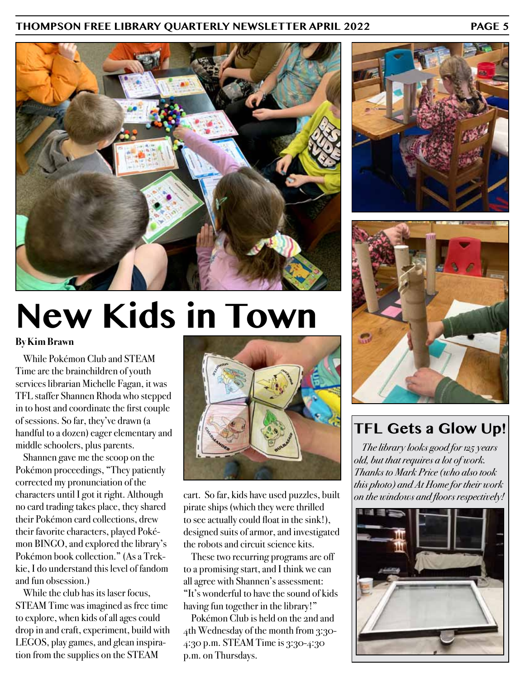#### **THOMPSON FREE LIBRARY QUARTERLY NEWSLETTER APRIL 2022 PAGE 5**



# **New Kids in Town**

#### **By Kim Brawn**

While Pokémon Club and STEAM Time are the brainchildren of youth services librarian Michelle Fagan, it was TFL staffer Shannen Rhoda who stepped in to host and coordinate the first couple of sessions. So far, they've drawn (a handful to a dozen) eager elementary and middle schoolers, plus parents.

Shannen gave me the scoop on the Pokémon proceedings, "They patiently corrected my pronunciation of the characters until I got it right. Although no card trading takes place, they shared their Pokémon card collections, drew their favorite characters, played Pokémon BINGO, and explored the library's Pokémon book collection." (As a Trekkie, I do understand this level of fandom and fun obsession.)

While the club has its laser focus, STEAM Time was imagined as free time to explore, when kids of all ages could drop in and craft, experiment, build with LEGOS, play games, and glean inspiration from the supplies on the STEAM



cart. So far, kids have used puzzles, built pirate ships (which they were thrilled to see actually could float in the sink!), designed suits of armor, and investigated the robots and circuit science kits.

These two recurring programs are off to a promising start, and I think we can all agree with Shannen's assessment: "It's wonderful to have the sound of kids having fun together in the library!"

Pokémon Club is held on the 2nd and 4th Wednesday of the month from 3:30- 4:30 p.m. STEAM Time is 3:30-4:30 p.m. on Thursdays.





#### **TFL Gets a Glow Up!**

*The library looks good for 125 years old, but that requires a lot of work. Thanks to Mark Price (who also took this photo) and At Home for their work on the windows and floors respectively!*